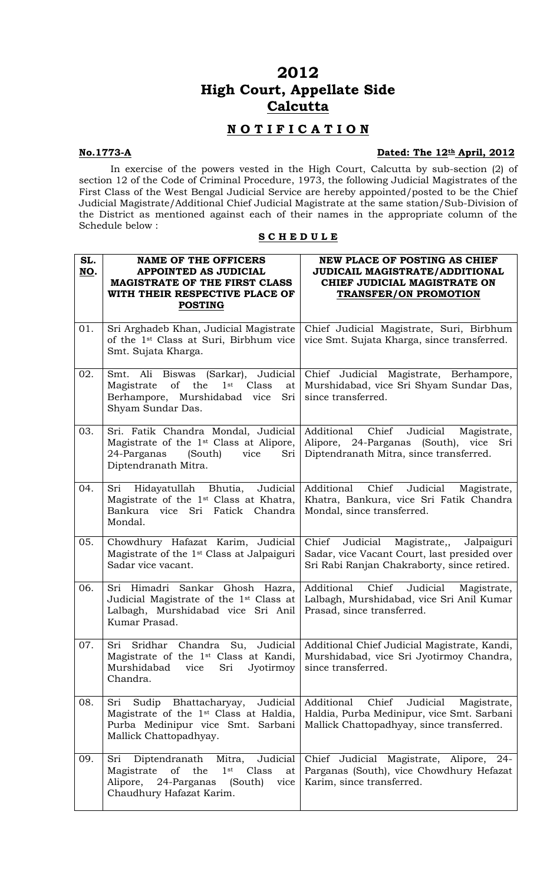# **2012 High Court, Appellate Side Calcutta**

# **N O T I F I C A T I O N**

## **No.1773-A** Dated: The 12<sup>th</sup> April, 2012

In exercise of the powers vested in the High Court, Calcutta by sub-section (2) of section 12 of the Code of Criminal Procedure, 1973, the following Judicial Magistrates of the First Class of the West Bengal Judicial Service are hereby appointed/posted to be the Chief Judicial Magistrate/Additional Chief Judicial Magistrate at the same station/Sub-Division of the District as mentioned against each of their names in the appropriate column of the Schedule below :

# **S C H E D U L E**

| SL.<br>NO. | <b>NAME OF THE OFFICERS</b><br>APPOINTED AS JUDICIAL<br><b>MAGISTRATE OF THE FIRST CLASS</b><br>WITH THEIR RESPECTIVE PLACE OF<br><b>POSTING</b>                | NEW PLACE OF POSTING AS CHIEF<br><b>JUDICAIL MAGISTRATE/ADDITIONAL</b><br>CHIEF JUDICIAL MAGISTRATE ON<br><b>TRANSFER/ON PROMOTION</b>            |
|------------|-----------------------------------------------------------------------------------------------------------------------------------------------------------------|---------------------------------------------------------------------------------------------------------------------------------------------------|
| 01.        | Sri Arghadeb Khan, Judicial Magistrate<br>of the 1 <sup>st</sup> Class at Suri, Birbhum vice<br>Smt. Sujata Kharga.                                             | Chief Judicial Magistrate, Suri, Birbhum<br>vice Smt. Sujata Kharga, since transferred.                                                           |
| 02.        | Smt. Ali Biswas (Sarkar), Judicial<br>of<br>the<br>$1$ st<br>Class<br>Magistrate<br>at<br>Berhampore, Murshidabad vice<br>Sri<br>Shyam Sundar Das.              | Chief Judicial Magistrate, Berhampore,<br>Murshidabad, vice Sri Shyam Sundar Das,<br>since transferred.                                           |
| 03.        | Sri. Fatik Chandra Mondal, Judicial<br>Magistrate of the 1 <sup>st</sup> Class at Alipore,<br>24-Parganas<br>(South)<br>vice<br>Sri<br>Diptendranath Mitra.     | Additional<br>Chief<br>Judicial<br>Magistrate,<br>Alipore, 24-Parganas (South),<br>vice<br>Sri<br>Diptendranath Mitra, since transferred.         |
| 04.        | Sri Hidayatullah Bhutia,<br>Judicial<br>Magistrate of the 1 <sup>st</sup> Class at Khatra,<br>Bankura vice Sri Fatick Chandra<br>Mondal.                        | Additional<br>Chief<br>Judicial<br>Magistrate,<br>Khatra, Bankura, vice Sri Fatik Chandra<br>Mondal, since transferred.                           |
| 05.        | Chowdhury Hafazat Karim, Judicial<br>Magistrate of the 1 <sup>st</sup> Class at Jalpaiguri<br>Sadar vice vacant.                                                | Chief<br>Judicial<br>Magistrate,,<br>Jalpaiguri<br>Sadar, vice Vacant Court, last presided over<br>Sri Rabi Ranjan Chakraborty, since retired.    |
| 06.        | Sri Himadri Sankar Ghosh Hazra,<br>Judicial Magistrate of the 1 <sup>st</sup> Class at<br>Lalbagh, Murshidabad vice Sri Anil<br>Kumar Prasad.                   | Additional<br>Chief<br>Judicial<br>Magistrate,<br>Lalbagh, Murshidabad, vice Sri Anil Kumar<br>Prasad, since transferred.                         |
| 07.        | Magistrate of the 1 <sup>st</sup> Class at Kandi,<br>Murshidabad<br>Jyotirmoy<br>vice<br>Sri<br>Chandra.                                                        | Sri Sridhar Chandra Su, Judicial   Additional Chief Judicial Magistrate, Kandi,<br>Murshidabad, vice Sri Jyotirmoy Chandra,<br>since transferred. |
| 08.        | Sri Sudip Bhattacharyay,<br>Judicial<br>Magistrate of the 1 <sup>st</sup> Class at Haldia,<br>Purba Medinipur vice Smt. Sarbani<br>Mallick Chattopadhyay.       | Additional<br>Chief<br>Judicial<br>Magistrate,<br>Haldia, Purba Medinipur, vice Smt. Sarbani<br>Mallick Chattopadhyay, since transferred.         |
| 09.        | Diptendranath<br>Mitra,<br>Judicial<br>Sri<br>Class<br>of the<br>$1$ st<br>Magistrate<br>at<br>Alipore, 24-Parganas (South)<br>vice<br>Chaudhury Hafazat Karim. | Chief Judicial Magistrate, Alipore, 24-<br>Parganas (South), vice Chowdhury Hefazat<br>Karim, since transferred.                                  |